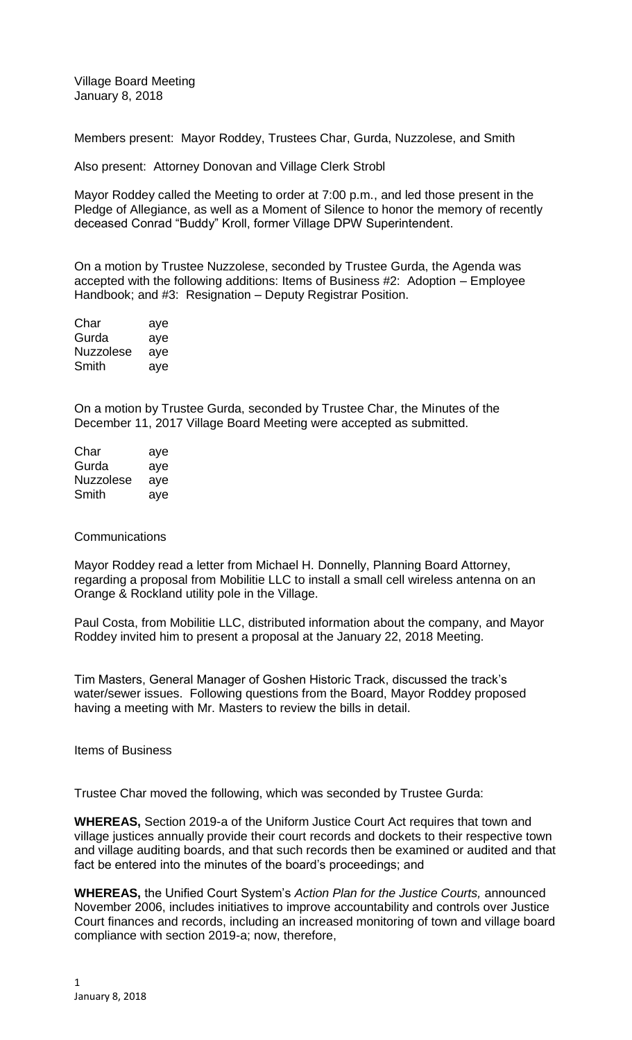Village Board Meeting January 8, 2018

Members present: Mayor Roddey, Trustees Char, Gurda, Nuzzolese, and Smith

Also present: Attorney Donovan and Village Clerk Strobl

Mayor Roddey called the Meeting to order at 7:00 p.m., and led those present in the Pledge of Allegiance, as well as a Moment of Silence to honor the memory of recently deceased Conrad "Buddy" Kroll, former Village DPW Superintendent.

On a motion by Trustee Nuzzolese, seconded by Trustee Gurda, the Agenda was accepted with the following additions: Items of Business #2: Adoption – Employee Handbook; and #3: Resignation – Deputy Registrar Position.

| Char             | aye |
|------------------|-----|
| Gurda            | aye |
| <b>Nuzzolese</b> | aye |
| Smith            | aye |

On a motion by Trustee Gurda, seconded by Trustee Char, the Minutes of the December 11, 2017 Village Board Meeting were accepted as submitted.

| Char      | aye |
|-----------|-----|
| Gurda     | aye |
| Nuzzolese | ave |
| Smith     | aye |

## **Communications**

Mayor Roddey read a letter from Michael H. Donnelly, Planning Board Attorney, regarding a proposal from Mobilitie LLC to install a small cell wireless antenna on an Orange & Rockland utility pole in the Village.

Paul Costa, from Mobilitie LLC, distributed information about the company, and Mayor Roddey invited him to present a proposal at the January 22, 2018 Meeting.

Tim Masters, General Manager of Goshen Historic Track, discussed the track's water/sewer issues. Following questions from the Board, Mayor Roddey proposed having a meeting with Mr. Masters to review the bills in detail.

Items of Business

Trustee Char moved the following, which was seconded by Trustee Gurda:

**WHEREAS,** Section 2019-a of the Uniform Justice Court Act requires that town and village justices annually provide their court records and dockets to their respective town and village auditing boards, and that such records then be examined or audited and that fact be entered into the minutes of the board's proceedings; and

**WHEREAS,** the Unified Court System's *Action Plan for the Justice Courts,* announced November 2006, includes initiatives to improve accountability and controls over Justice Court finances and records, including an increased monitoring of town and village board compliance with section 2019-a; now, therefore,